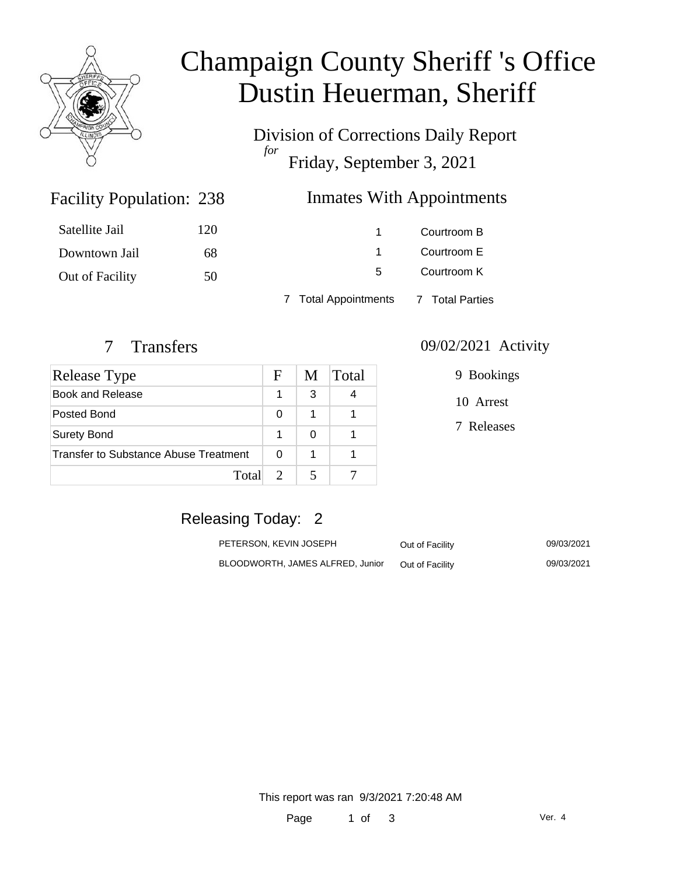

# Champaign County Sheriff 's Office Dustin Heuerman, Sheriff

Division of Corrections Daily Report *for* Friday, September 3, 2021

# Inmates With Appointments

| Satellite Jail  | 120 |                                      | Courtroom B |
|-----------------|-----|--------------------------------------|-------------|
| Downtown Jail   | 68  |                                      | Courtroom E |
| Out of Facility | 50  | 5.                                   | Courtroom K |
|                 |     | 7 Total Appointments 7 Total Parties |             |

Facility Population: 238

| Release Type                          | F | M | Total |
|---------------------------------------|---|---|-------|
| <b>Book and Release</b>               |   | 3 |       |
| Posted Bond                           | 0 | 1 |       |
| <b>Surety Bond</b>                    |   | O |       |
| Transfer to Substance Abuse Treatment |   |   |       |
| Total                                 |   |   |       |

#### 7 Transfers 09/02/2021 Activity

| 9 Bookings |
|------------|
| 10 Arrest  |
| 7 Releases |

## Releasing Today: 2

| PETERSON. KEVIN JOSEPH           | Out of Facility | 09/03/2021 |
|----------------------------------|-----------------|------------|
| BLOODWORTH, JAMES ALFRED, Junior | Out of Facility | 09/03/2021 |

This report was ran 9/3/2021 7:20:48 AM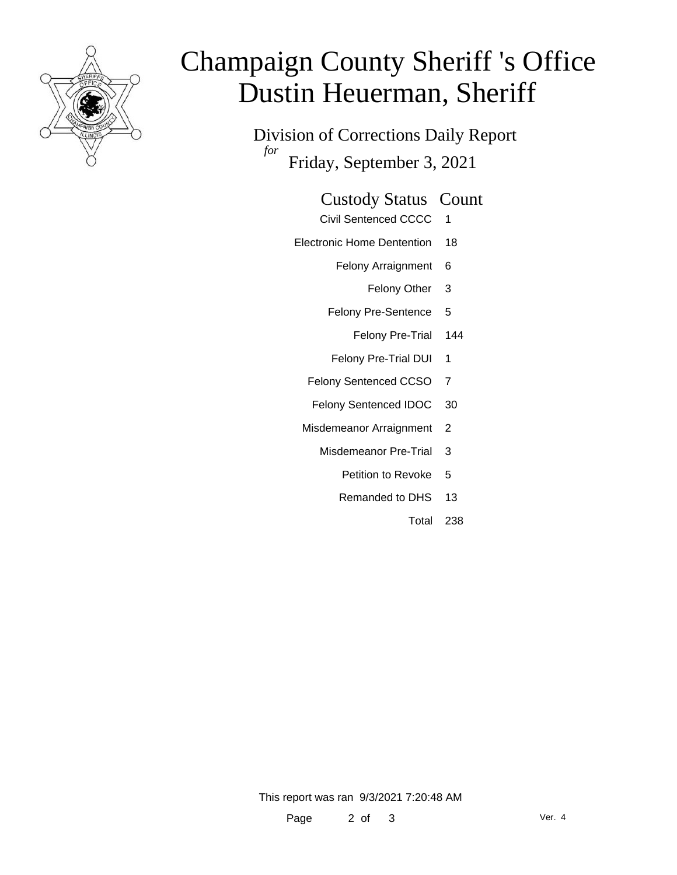

# Champaign County Sheriff 's Office Dustin Heuerman, Sheriff

Division of Corrections Daily Report *for* Friday, September 3, 2021

#### Custody Status Count

- Civil Sentenced CCCC 1
- Electronic Home Dentention 18
	- Felony Arraignment 6
		- Felony Other 3
	- Felony Pre-Sentence 5
		- Felony Pre-Trial 144
	- Felony Pre-Trial DUI 1
	- Felony Sentenced CCSO 7
	- Felony Sentenced IDOC 30
	- Misdemeanor Arraignment 2
		- Misdemeanor Pre-Trial 3
			- Petition to Revoke 5
			- Remanded to DHS 13
				- Total 238

This report was ran 9/3/2021 7:20:48 AM